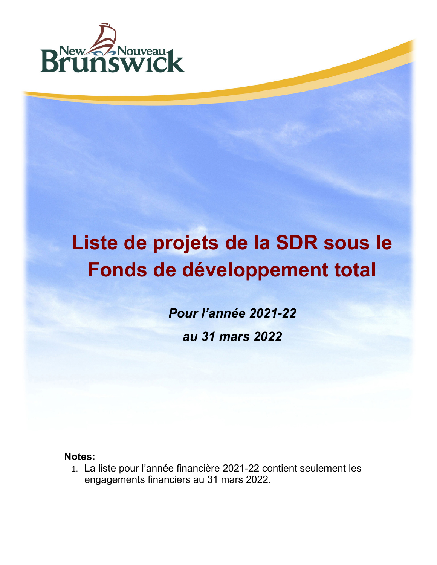

## **Liste de projets de la SDR sous le Fonds de développement total**

*Pour l'année 2021-22 au 31 mars 2022*

**Notes:**

1. La liste pour l'année financière 2021-22 contient seulement les engagements financiers au 31 mars 2022.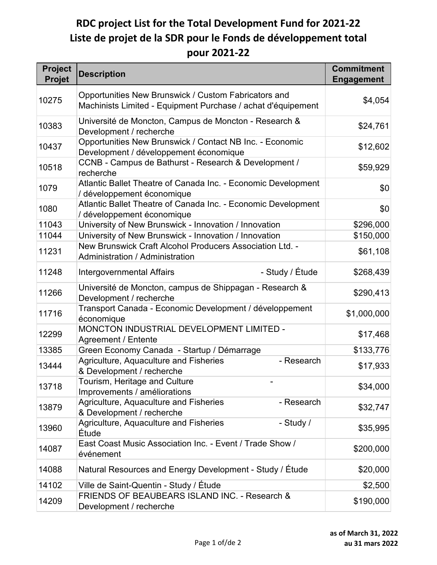## **RDC project List for the Total Development Fund for 2021-22 Liste de projet de la SDR pour le Fonds de développement total pour 2021-22**

| <b>Project</b><br><b>Projet</b> | <b>Description</b>                                                                                                   | <b>Commitment</b><br><b>Engagement</b> |
|---------------------------------|----------------------------------------------------------------------------------------------------------------------|----------------------------------------|
| 10275                           | Opportunities New Brunswick / Custom Fabricators and<br>Machinists Limited - Equipment Purchase / achat d'équipement | \$4,054                                |
| 10383                           | Université de Moncton, Campus de Moncton - Research &<br>Development / recherche                                     | \$24,761                               |
| 10437                           | Opportunities New Brunswick / Contact NB Inc. - Economic<br>Development / développement économique                   | \$12,602                               |
| 10518                           | CCNB - Campus de Bathurst - Research & Development /<br>recherche                                                    | \$59,929                               |
| 1079                            | Atlantic Ballet Theatre of Canada Inc. - Economic Development<br>/ développement économique                          | \$0                                    |
| 1080                            | Atlantic Ballet Theatre of Canada Inc. - Economic Development<br>/ développement économique                          | \$0                                    |
| 11043                           | University of New Brunswick - Innovation / Innovation                                                                | \$296,000                              |
| 11044                           | University of New Brunswick - Innovation / Innovation                                                                | \$150,000                              |
| 11231                           | New Brunswick Craft Alcohol Producers Association Ltd. -<br>Administration / Administration                          | \$61,108                               |
| 11248                           | - Study / Étude<br><b>Intergovernmental Affairs</b>                                                                  | \$268,439                              |
| 11266                           | Université de Moncton, campus de Shippagan - Research &<br>Development / recherche                                   | \$290,413                              |
| 11716                           | Transport Canada - Economic Development / développement<br>économique                                                | \$1,000,000                            |
| 12299                           | MONCTON INDUSTRIAL DEVELOPMENT LIMITED -<br><b>Agreement / Entente</b>                                               | \$17,468                               |
| 13385                           | Green Economy Canada - Startup / Démarrage                                                                           | \$133,776                              |
| 13444                           | Agriculture, Aquaculture and Fisheries<br>- Research<br>& Development / recherche                                    | \$17,933                               |
| 13718                           | Tourism, Heritage and Culture<br>Improvements / améliorations                                                        | \$34,000                               |
| 13879                           | Agriculture, Aquaculture and Fisheries<br>- Research<br>& Development / recherche                                    | \$32,747                               |
| 13960                           | Agriculture, Aquaculture and Fisheries<br>- Study /<br>Étude                                                         | \$35,995                               |
| 14087                           | East Coast Music Association Inc. - Event / Trade Show /<br>événement                                                | \$200,000                              |
| 14088                           | Natural Resources and Energy Development - Study / Étude                                                             | \$20,000                               |
| 14102                           | Ville de Saint-Quentin - Study / Étude                                                                               | \$2,500                                |
| 14209                           | FRIENDS OF BEAUBEARS ISLAND INC. - Research &<br>Development / recherche                                             | \$190,000                              |